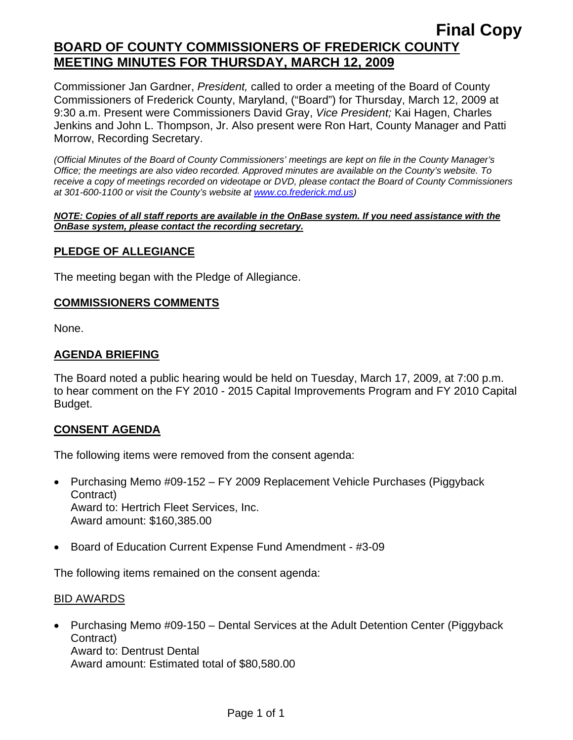Commissioner Jan Gardner, *President,* called to order a meeting of the Board of County Commissioners of Frederick County, Maryland, ("Board") for Thursday, March 12, 2009 at 9:30 a.m. Present were Commissioners David Gray, *Vice President;* Kai Hagen, Charles Jenkins and John L. Thompson, Jr. Also present were Ron Hart, County Manager and Patti Morrow, Recording Secretary.

*(Official Minutes of the Board of County Commissioners' meetings are kept on file in the County Manager's Office; the meetings are also video recorded. Approved minutes are available on the County's website. To receive a copy of meetings recorded on videotape or DVD, please contact the Board of County Commissioners at 301-600-1100 or visit the County's website at [www.co.frederick.md.us\)](http://www.co.frederick.md.us/)* 

#### *NOTE: Copies of all staff reports are available in the OnBase system. If you need assistance with the OnBase system, please contact the recording secretary.*

### **PLEDGE OF ALLEGIANCE**

The meeting began with the Pledge of Allegiance.

#### **COMMISSIONERS COMMENTS**

None.

### **AGENDA BRIEFING**

The Board noted a public hearing would be held on Tuesday, March 17, 2009, at 7:00 p.m. to hear comment on the FY 2010 - 2015 Capital Improvements Program and FY 2010 Capital Budget.

### **CONSENT AGENDA**

The following items were removed from the consent agenda:

- Purchasing Memo #09-152 FY 2009 Replacement Vehicle Purchases (Piggyback Contract) Award to: Hertrich Fleet Services, Inc. Award amount: \$160,385.00
- Board of Education Current Expense Fund Amendment #3-09

The following items remained on the consent agenda:

#### BID AWARDS

• Purchasing Memo #09-150 – Dental Services at the Adult Detention Center (Piggyback Contract) Award to: Dentrust Dental Award amount: Estimated total of \$80,580.00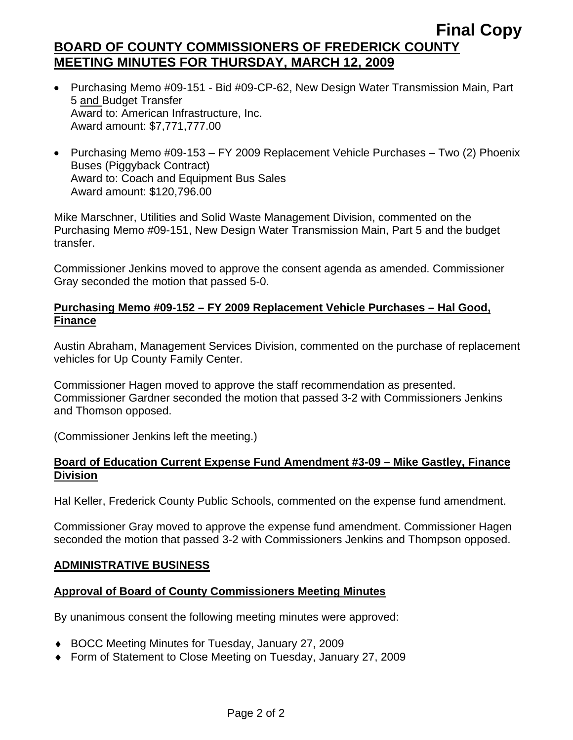- Purchasing Memo #09-151 Bid #09-CP-62, New Design Water Transmission Main, Part 5 and Budget Transfer Award to: American Infrastructure, Inc. Award amount: \$7,771,777.00
- Purchasing Memo #09-153 FY 2009 Replacement Vehicle Purchases Two (2) Phoenix Buses (Piggyback Contract) Award to: Coach and Equipment Bus Sales Award amount: \$120,796.00

Mike Marschner, Utilities and Solid Waste Management Division, commented on the Purchasing Memo #09-151, New Design Water Transmission Main, Part 5 and the budget transfer.

Commissioner Jenkins moved to approve the consent agenda as amended. Commissioner Gray seconded the motion that passed 5-0.

### **Purchasing Memo #09-152 – FY 2009 Replacement Vehicle Purchases – Hal Good, Finance**

Austin Abraham, Management Services Division, commented on the purchase of replacement vehicles for Up County Family Center.

Commissioner Hagen moved to approve the staff recommendation as presented. Commissioner Gardner seconded the motion that passed 3-2 with Commissioners Jenkins and Thomson opposed.

(Commissioner Jenkins left the meeting.)

### **Board of Education Current Expense Fund Amendment #3-09 – Mike Gastley, Finance Division**

Hal Keller, Frederick County Public Schools, commented on the expense fund amendment.

Commissioner Gray moved to approve the expense fund amendment. Commissioner Hagen seconded the motion that passed 3-2 with Commissioners Jenkins and Thompson opposed.

### **ADMINISTRATIVE BUSINESS**

#### **Approval of Board of County Commissioners Meeting Minutes**

By unanimous consent the following meeting minutes were approved:

- ♦ BOCC Meeting Minutes for Tuesday, January 27, 2009
- ♦ Form of Statement to Close Meeting on Tuesday, January 27, 2009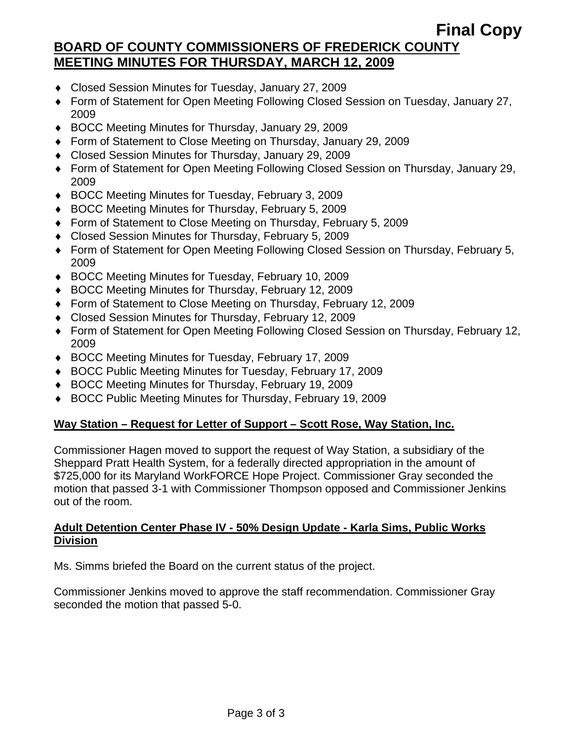- ♦ Closed Session Minutes for Tuesday, January 27, 2009
- ♦ Form of Statement for Open Meeting Following Closed Session on Tuesday, January 27, 2009
- ♦ BOCC Meeting Minutes for Thursday, January 29, 2009
- ♦ Form of Statement to Close Meeting on Thursday, January 29, 2009
- ♦ Closed Session Minutes for Thursday, January 29, 2009
- ♦ Form of Statement for Open Meeting Following Closed Session on Thursday, January 29, 2009
- ♦ BOCC Meeting Minutes for Tuesday, February 3, 2009
- ♦ BOCC Meeting Minutes for Thursday, February 5, 2009
- ♦ Form of Statement to Close Meeting on Thursday, February 5, 2009
- ♦ Closed Session Minutes for Thursday, February 5, 2009
- ♦ Form of Statement for Open Meeting Following Closed Session on Thursday, February 5, 2009
- ♦ BOCC Meeting Minutes for Tuesday, February 10, 2009
- ♦ BOCC Meeting Minutes for Thursday, February 12, 2009
- ♦ Form of Statement to Close Meeting on Thursday, February 12, 2009
- ♦ Closed Session Minutes for Thursday, February 12, 2009
- ♦ Form of Statement for Open Meeting Following Closed Session on Thursday, February 12, 2009
- ♦ BOCC Meeting Minutes for Tuesday, February 17, 2009
- ♦ BOCC Public Meeting Minutes for Tuesday, February 17, 2009
- ♦ BOCC Meeting Minutes for Thursday, February 19, 2009
- ♦ BOCC Public Meeting Minutes for Thursday, February 19, 2009

### **Way Station – Request for Letter of Support – Scott Rose, Way Station, Inc.**

Commissioner Hagen moved to support the request of Way Station, a subsidiary of the Sheppard Pratt Health System, for a federally directed appropriation in the amount of \$725,000 for its Maryland WorkFORCE Hope Project. Commissioner Gray seconded the motion that passed 3-1 with Commissioner Thompson opposed and Commissioner Jenkins out of the room.

### **Adult Detention Center Phase IV - 50% Design Update - Karla Sims, Public Works Division**

Ms. Simms briefed the Board on the current status of the project.

Commissioner Jenkins moved to approve the staff recommendation. Commissioner Gray seconded the motion that passed 5-0.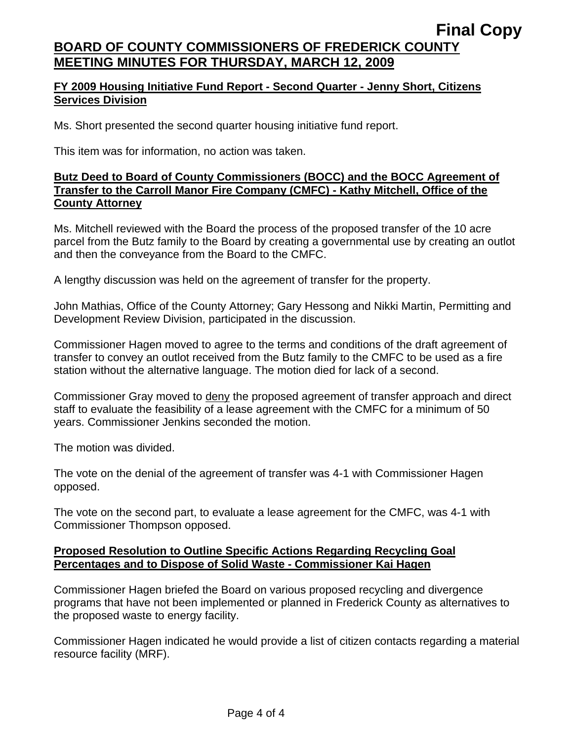### **FY 2009 Housing Initiative Fund Report - Second Quarter - Jenny Short, Citizens Services Division**

Ms. Short presented the second quarter housing initiative fund report.

This item was for information, no action was taken.

### **Butz Deed to Board of County Commissioners (BOCC) and the BOCC Agreement of Transfer to the Carroll Manor Fire Company (CMFC) - Kathy Mitchell, Office of the County Attorney**

Ms. Mitchell reviewed with the Board the process of the proposed transfer of the 10 acre parcel from the Butz family to the Board by creating a governmental use by creating an outlot and then the conveyance from the Board to the CMFC.

A lengthy discussion was held on the agreement of transfer for the property.

John Mathias, Office of the County Attorney; Gary Hessong and Nikki Martin, Permitting and Development Review Division, participated in the discussion.

Commissioner Hagen moved to agree to the terms and conditions of the draft agreement of transfer to convey an outlot received from the Butz family to the CMFC to be used as a fire station without the alternative language. The motion died for lack of a second.

Commissioner Gray moved to deny the proposed agreement of transfer approach and direct staff to evaluate the feasibility of a lease agreement with the CMFC for a minimum of 50 years. Commissioner Jenkins seconded the motion.

The motion was divided.

The vote on the denial of the agreement of transfer was 4-1 with Commissioner Hagen opposed.

The vote on the second part, to evaluate a lease agreement for the CMFC, was 4-1 with Commissioner Thompson opposed.

### **Proposed Resolution to Outline Specific Actions Regarding Recycling Goal Percentages and to Dispose of Solid Waste - Commissioner Kai Hagen**

Commissioner Hagen briefed the Board on various proposed recycling and divergence programs that have not been implemented or planned in Frederick County as alternatives to the proposed waste to energy facility.

Commissioner Hagen indicated he would provide a list of citizen contacts regarding a material resource facility (MRF).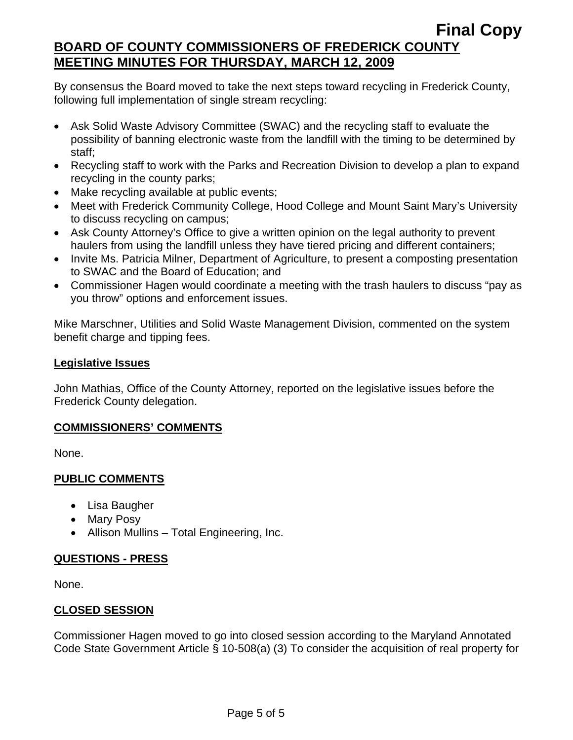By consensus the Board moved to take the next steps toward recycling in Frederick County, following full implementation of single stream recycling:

- Ask Solid Waste Advisory Committee (SWAC) and the recycling staff to evaluate the possibility of banning electronic waste from the landfill with the timing to be determined by staff;
- Recycling staff to work with the Parks and Recreation Division to develop a plan to expand recycling in the county parks;
- Make recycling available at public events;
- Meet with Frederick Community College, Hood College and Mount Saint Mary's University to discuss recycling on campus;
- Ask County Attorney's Office to give a written opinion on the legal authority to prevent haulers from using the landfill unless they have tiered pricing and different containers;
- Invite Ms. Patricia Milner, Department of Agriculture, to present a composting presentation to SWAC and the Board of Education; and
- Commissioner Hagen would coordinate a meeting with the trash haulers to discuss "pay as you throw" options and enforcement issues.

Mike Marschner, Utilities and Solid Waste Management Division, commented on the system benefit charge and tipping fees.

### **Legislative Issues**

John Mathias, Office of the County Attorney, reported on the legislative issues before the Frederick County delegation.

### **COMMISSIONERS' COMMENTS**

None.

# **PUBLIC COMMENTS**

- Lisa Baugher
- Mary Posy
- Allison Mullins Total Engineering, Inc.

# **QUESTIONS - PRESS**

None.

# **CLOSED SESSION**

Commissioner Hagen moved to go into closed session according to the Maryland Annotated Code State Government Article § 10-508(a) (3) To consider the acquisition of real property for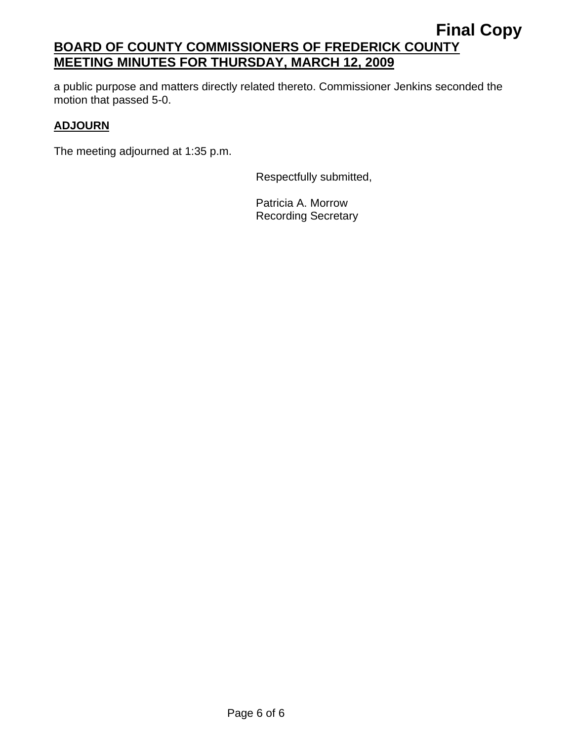a public purpose and matters directly related thereto. Commissioner Jenkins seconded the motion that passed 5-0.

### **ADJOURN**

The meeting adjourned at 1:35 p.m.

Respectfully submitted,

Patricia A. Morrow Recording Secretary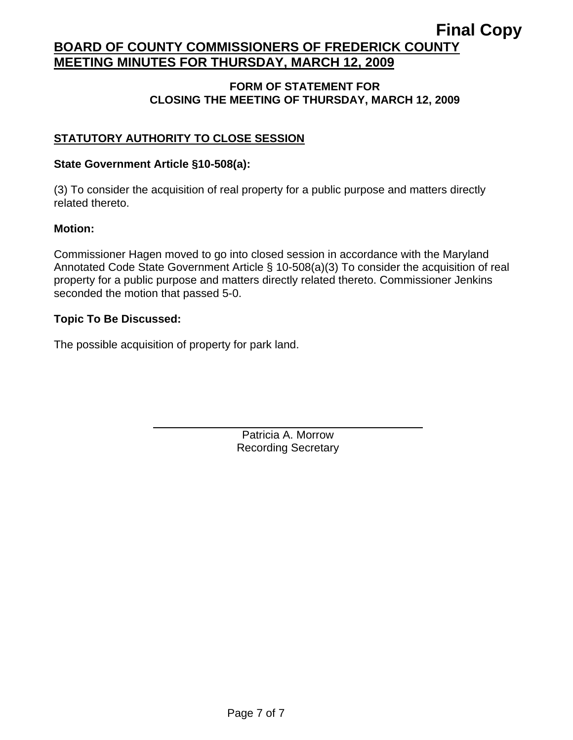# **Final Copy**

# **BOARD OF COUNTY COMMISSIONERS OF FREDERICK COUNTY MEETING MINUTES FOR THURSDAY, MARCH 12, 2009**

#### **FORM OF STATEMENT FOR CLOSING THE MEETING OF THURSDAY, MARCH 12, 2009**

### **STATUTORY AUTHORITY TO CLOSE SESSION**

#### **State Government Article §10-508(a):**

(3) To consider the acquisition of real property for a public purpose and matters directly related thereto.

#### **Motion:**

Commissioner Hagen moved to go into closed session in accordance with the Maryland Annotated Code State Government Article § 10-508(a)(3) To consider the acquisition of real property for a public purpose and matters directly related thereto. Commissioner Jenkins seconded the motion that passed 5-0.

### **Topic To Be Discussed:**

The possible acquisition of property for park land.

 $\overline{a}$ 

Patricia A. Morrow Recording Secretary